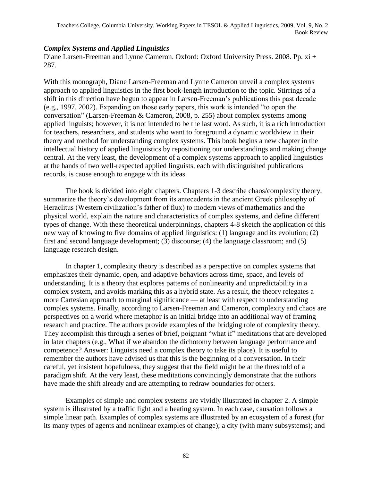## *Complex Systems and Applied Linguistics*

Diane Larsen-Freeman and Lynne Cameron. Oxford: Oxford University Press. 2008. Pp. xi + 287.

With this monograph, Diane Larsen-Freeman and Lynne Cameron unveil a complex systems approach to applied linguistics in the first book-length introduction to the topic. Stirrings of a shift in this direction have begun to appear in Larsen-Freeman's publications this past decade (e.g., 1997, 2002). Expanding on those early papers, this work is intended "to open the conversation" (Larsen-Freeman & Cameron, 2008, p. 255) about complex systems among applied linguists; however, it is not intended to be the last word. As such, it is a rich introduction for teachers, researchers, and students who want to foreground a dynamic worldview in their theory and method for understanding complex systems. This book begins a new chapter in the intellectual history of applied linguistics by repositioning our understandings and making change central. At the very least, the development of a complex systems approach to applied linguistics at the hands of two well-respected applied linguists, each with distinguished publications records, is cause enough to engage with its ideas.

The book is divided into eight chapters. Chapters 1-3 describe chaos/complexity theory, summarize the theory's development from its antecedents in the ancient Greek philosophy of Heraclitus (Western civilization's father of flux) to modern views of mathematics and the physical world, explain the nature and characteristics of complex systems, and define different types of change. With these theoretical underpinnings, chapters 4-8 sketch the application of this new way of knowing to five domains of applied linguistics: (1) language and its evolution; (2) first and second language development; (3) discourse; (4) the language classroom; and (5) language research design.

In chapter 1, complexity theory is described as a perspective on complex systems that emphasizes their dynamic, open, and adaptive behaviors across time, space, and levels of understanding. It is a theory that explores patterns of nonlinearity and unpredictability in a complex system, and avoids marking this as a hybrid state. As a result, the theory relegates a more Cartesian approach to marginal significance — at least with respect to understanding complex systems. Finally, according to Larsen-Freeman and Cameron, complexity and chaos are perspectives on a world where metaphor is an initial bridge into an additional way of framing research and practice. The authors provide examples of the bridging role of complexity theory. They accomplish this through a series of brief, poignant "what if" meditations that are developed in later chapters (e.g., What if we abandon the dichotomy between language performance and competence? Answer: Linguists need a complex theory to take its place). It is useful to remember the authors have advised us that this is the beginning of a conversation. In their careful, yet insistent hopefulness, they suggest that the field might be at the threshold of a paradigm shift. At the very least, these meditations convincingly demonstrate that the authors have made the shift already and are attempting to redraw boundaries for others.

Examples of simple and complex systems are vividly illustrated in chapter 2. A simple system is illustrated by a traffic light and a heating system. In each case, causation follows a simple linear path. Examples of complex systems are illustrated by an ecosystem of a forest (for its many types of agents and nonlinear examples of change); a city (with many subsystems); and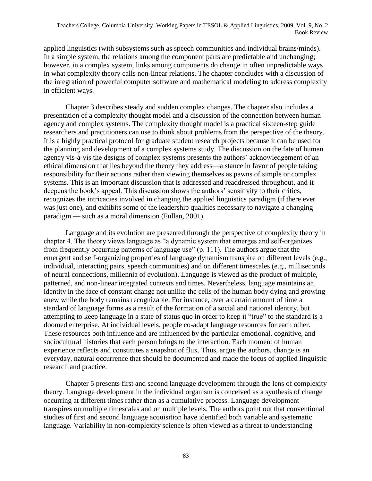applied linguistics (with subsystems such as speech communities and individual brains/minds). In a simple system, the relations among the component parts are predictable and unchanging; however, in a complex system, links among components do change in often unpredictable ways in what complexity theory calls non-linear relations. The chapter concludes with a discussion of the integration of powerful computer software and mathematical modeling to address complexity in efficient ways.

Chapter 3 describes steady and sudden complex changes. The chapter also includes a presentation of a complexity thought model and a discussion of the connection between human agency and complex systems. The complexity thought model is a practical sixteen-step guide researchers and practitioners can use to think about problems from the perspective of the theory. It is a highly practical protocol for graduate student research projects because it can be used for the planning and development of a complex systems study. The discussion on the fate of human agency vis-à-vis the designs of complex systems presents the authors' acknowledgement of an ethical dimension that lies beyond the theory they address—a stance in favor of people taking responsibility for their actions rather than viewing themselves as pawns of simple or complex systems. This is an important discussion that is addressed and readdressed throughout, and it deepens the book's appeal. This discussion shows the authors' sensitivity to their critics, recognizes the intricacies involved in changing the applied linguistics paradigm (if there ever was just one), and exhibits some of the leadership qualities necessary to navigate a changing paradigm — such as a moral dimension (Fullan, 2001).

Language and its evolution are presented through the perspective of complexity theory in chapter 4. The theory views language as "a dynamic system that emerges and self-organizes from frequently occurring patterns of language use" (p. 111). The authors argue that the emergent and self-organizing properties of language dynamism transpire on different levels (e.g., individual, interacting pairs, speech communities) and on different timescales (e.g., milliseconds of neural connections, millennia of evolution). Language is viewed as the product of multiple, patterned, and non-linear integrated contexts and times. Nevertheless, language maintains an identity in the face of constant change not unlike the cells of the human body dying and growing anew while the body remains recognizable. For instance, over a certain amount of time a standard of language forms as a result of the formation of a social and national identity, but attempting to keep language in a state of status quo in order to keep it "true" to the standard is a doomed enterprise. At individual levels, people co-adapt language resources for each other. These resources both influence and are influenced by the particular emotional, cognitive, and sociocultural histories that each person brings to the interaction. Each moment of human experience reflects and constitutes a snapshot of flux. Thus, argue the authors, change is an everyday, natural occurrence that should be documented and made the focus of applied linguistic research and practice.

Chapter 5 presents first and second language development through the lens of complexity theory. Language development in the individual organism is conceived as a synthesis of change occurring at different times rather than as a cumulative process. Language development transpires on multiple timescales and on multiple levels. The authors point out that conventional studies of first and second language acquisition have identified both variable and systematic language. Variability in non-complexity science is often viewed as a threat to understanding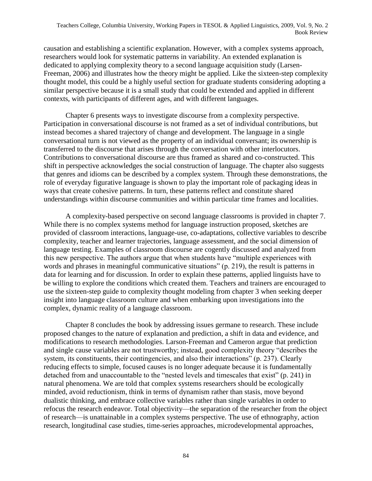causation and establishing a scientific explanation. However, with a complex systems approach, researchers would look for systematic patterns in variability. An extended explanation is dedicated to applying complexity theory to a second language acquisition study (Larsen-Freeman, 2006) and illustrates how the theory might be applied. Like the sixteen-step complexity thought model, this could be a highly useful section for graduate students considering adopting a similar perspective because it is a small study that could be extended and applied in different contexts, with participants of different ages, and with different languages.

Chapter 6 presents ways to investigate discourse from a complexity perspective. Participation in conversational discourse is not framed as a set of individual contributions, but instead becomes a shared trajectory of change and development. The language in a single conversational turn is not viewed as the property of an individual conversant; its ownership is transferred to the discourse that arises through the conversation with other interlocutors. Contributions to conversational discourse are thus framed as shared and co-constructed. This shift in perspective acknowledges the social construction of language. The chapter also suggests that genres and idioms can be described by a complex system. Through these demonstrations, the role of everyday figurative language is shown to play the important role of packaging ideas in ways that create cohesive patterns. In turn, these patterns reflect and constitute shared understandings within discourse communities and within particular time frames and localities.

A complexity-based perspective on second language classrooms is provided in chapter 7. While there is no complex systems method for language instruction proposed, sketches are provided of classroom interactions, language-use, co-adaptations, collective variables to describe complexity, teacher and learner trajectories, language assessment, and the social dimension of language testing. Examples of classroom discourse are cogently discussed and analyzed from this new perspective. The authors argue that when students have "multiple experiences with words and phrases in meaningful communicative situations" (p. 219), the result is patterns in data for learning and for discussion. In order to explain these patterns, applied linguists have to be willing to explore the conditions which created them. Teachers and trainers are encouraged to use the sixteen-step guide to complexity thought modeling from chapter 3 when seeking deeper insight into language classroom culture and when embarking upon investigations into the complex, dynamic reality of a language classroom.

Chapter 8 concludes the book by addressing issues germane to research. These include proposed changes to the nature of explanation and prediction, a shift in data and evidence, and modifications to research methodologies. Larson-Freeman and Cameron argue that prediction and single cause variables are not trustworthy; instead, good complexity theory "describes the system, its constituents, their contingencies, and also their interactions" (p. 237). Clearly reducing effects to simple, focused causes is no longer adequate because it is fundamentally detached from and unaccountable to the "nested levels and timescales that exist" (p. 241) in natural phenomena. We are told that complex systems researchers should be ecologically minded, avoid reductionism, think in terms of dynamism rather than stasis, move beyond dualistic thinking, and embrace collective variables rather than single variables in order to refocus the research endeavor. Total objectivity—the separation of the researcher from the object of research—is unattainable in a complex systems perspective. The use of ethnography, action research, longitudinal case studies, time-series approaches, microdevelopmental approaches,